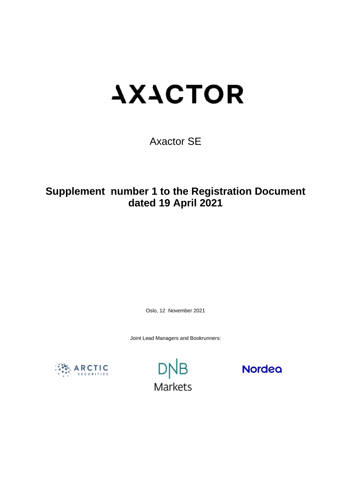# **AXACTOR**

Axactor SE

**Supplement number 1 to the Registration Document dated 19 April 2021** 

Oslo, 12 November 2021

Joint Lead Managers and Bookrunners:





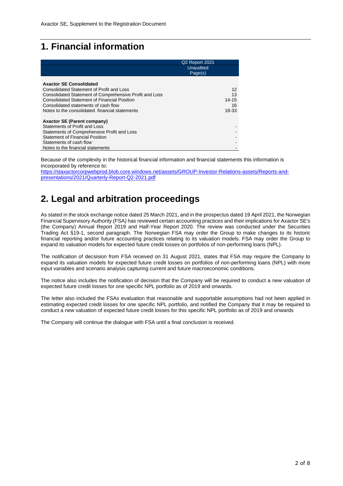# **1. Financial information**

|                                                         | Q <sub>2</sub> Report 2021 |
|---------------------------------------------------------|----------------------------|
|                                                         | Unaudited                  |
|                                                         | Page(s)                    |
|                                                         |                            |
| <b>Axactor SE Consolidated</b>                          |                            |
| Consolidated Statement of Profit and Loss               | 12                         |
| Consolidated Statement of Comprehensive Profit and Loss | 13                         |
| <b>Consolidated Statement of Financial Position</b>     | 14-15                      |
| Consolidated statements of cash flow                    | 16                         |
| Notes to the consolidated financial statements          | 18-33                      |
|                                                         |                            |
| <b>Axactor SE (Parent company)</b>                      |                            |
| Statements of Profit and Loss                           |                            |
| Statements of Comprehensive Profit and Loss             |                            |
| <b>Statement of Financial Position</b>                  |                            |
| Statements of cash flow                                 |                            |
| Notes to the financial statements                       |                            |

Because of the complexity in the historical financial information and financial statements this information is incorporated by reference to:

[https://staxactorcorpwebprod.blob.core.windows.net/assets/GROUP-Investor-Relations-assets/Reports-and](https://staxactorcorpwebprod.blob.core.windows.net/assets/GROUP-Investor-Relations-assets/Reports-and-presentations/2021/Quarterly-Report-Q2-2021.pdf)[presentations/2021/Quarterly-Report-Q2-2021.pdf](https://staxactorcorpwebprod.blob.core.windows.net/assets/GROUP-Investor-Relations-assets/Reports-and-presentations/2021/Quarterly-Report-Q2-2021.pdf)

# **2. Legal and arbitration proceedings**

As stated in the stock exchange notice dated 25 March 2021, and in the prospectus dated 19 April 2021, the Norwegian Financial Supervisory Authority (FSA) has reviewed certain accounting practices and their implications for Axactor SE's (the Company) Annual Report 2019 and Half-Year Report 2020. The review was conducted under the Securities Trading Act §19-1, second paragraph. The Norwegian FSA may order the Group to make changes to its historic financial reporting and/or future accounting practices relating to its valuation models. FSA may order the Group to expand its valuation models for expected future credit losses on portfolios of non-performing loans (NPL).

The notification of decsision from FSA received on 31 August 2021, states that FSA may require the Company to expand its valuation models for expected future credit losses on portfolios of non-performing loans (NPL) with more input variables and scenario analysis capturing current and future macroeconomic conditions.

The notice also includes the notification of decision that the Company will be required to conduct a new valuation of expected future credit losses for one specific NPL portfolio as of 2019 and onwards.

The letter also included the FSAs evaluation that reasonable and supportable assumptions had not been applied in estimating expected credit losses for one specific NPL portfolio, and notified the Company that it may be required to conduct a new valuation of expected future credit losses for this specific NPL portfolio as of 2019 and onwards

The Company will continue the dialogue with FSA until a final conclusion is received.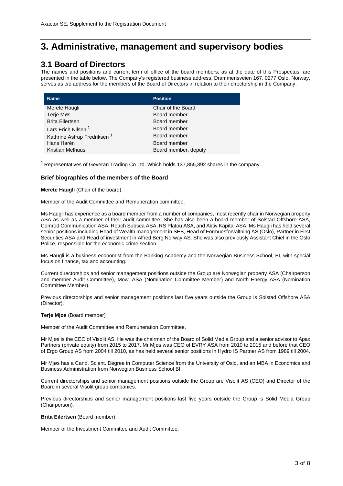# **3. Administrative, management and supervisory bodies**

# **3.1 Board of Directors**

The names and positions and current term of office of the board members, as at the date of this Prospectus, are presented in the table below. The Company's registered business address, Drammensveien 167, 0277 Oslo, Norway, serves as c/o address for the members of the Board of Directors in relation to their directorship in the Company.

| <b>Name</b>                             | <b>Position</b>      |
|-----------------------------------------|----------------------|
| Merete Haugli                           | Chair of the Board   |
| Terje Møs                               | Board member         |
| <b>Brita Eilertsen</b>                  | Board member         |
| Lars Erich Nilsen <sup>1</sup>          | Board member         |
| Kathrine Astrup Fredriksen <sup>1</sup> | Board member         |
| Hans Harén                              | Board member         |
| <b>Kristian Melhuus</b>                 | Board member, deputy |

 $1$  Representatives of Geveran Trading Co Ltd. Which holds 137,855,892 shares in the company

# **Brief biographies of the members of the Board**

# **Merete Haugli** (Chair of the board)

Member of the Audit Committee and Remuneration committee.

Ms Haugli has experience as a board member from a number of companies, most recently chair in Norwegian property ASA as well as a member of their audit committee. She has also been a board member of Solstad Offshore ASA, Comrod Communication ASA, Reach Subsea ASA, RS Platou ASA, and Aktiv Kapital ASA. Ms Haugli has held several senior positions including Head of Wealth management in SEB, Head of Formuesforvaltning AS (Oslo), Partner in First Securities ASA and Head of investment in Alfred Berg Norway AS. She was also previously Assistant Chief in the Oslo Police, responsible for the economic crime section.

Ms Haugli is a business economist from the Banking Academy and the Norwegian Business School, BI, with special focus on finance, tax and accounting.

Current directorships and senior management positions outside the Group are Norwegian property ASA (Chairperson and member Audit Committee), Mowi ASA (Nomination Committee Member) and North Energy ASA (Nomination Committee Member).

Previous directorships and senior management positions last five years outside the Group is Solstad Offshore ASA (Director).

# **Terje Mjøs** (Board member)

Member of the Audit Committee and Remuneration Committee.

Mr Mjøs is the CEO of Visolit AS. He was the chairman of the Board of Solid Media Group and a senior advisor to Apax Partners (private equity) from 2015 to 2017. Mr Mjøs was CEO of EVRY ASA from 2010 to 2015 and before that CEO of Ergo Group AS from 2004 till 2010, as has held several senior positions in Hydro IS Partner AS from 1989 till 2004.

Mr Mjøs has a Cand. Scient. Degree in Computer Science from the University of Oslo, and an MBA in Economics and Business Administration from Norwegian Business School BI.

Current directorships and senior management positions outside the Group are Visolit AS (CEO) and Director of the Board in several Visolit group companies.

Previous directorships and senior management positions last five years outside the Group is Solid Media Group (Chairperson).

# **Brita Eilertsen** (Board member)

Member of the Investment Committee and Audit Committee.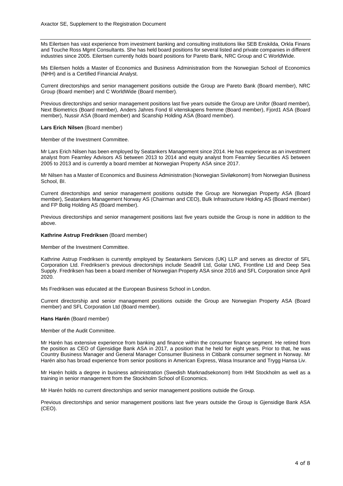Ms Eilertsen has vast experience from investment banking and consulting institutions like SEB Enskilda, Orkla Finans and Touche Ross Mgmt Consultants. She has held board positions for several listed and private companies in different industries since 2005. Eilertsen currently holds board positions for Pareto Bank, NRC Group and C WorldWide.

Ms Eilertsen holds a Master of Economics and Business Administration from the Norwegian School of Economics (NHH) and is a Certified Financial Analyst.

Current directorships and senior management positions outside the Group are Pareto Bank (Board member), NRC Group (Board member) and C WorldWide (Board member).

Previous directorships and senior management positions last five years outside the Group are Unifor (Board member), Next Biometrics (Board member), Anders Jahres Fond til vitenskapens fremme (Board member), Fjord1 ASA (Board member), Nussir ASA (Board member) and Scanship Holding ASA (Board member).

### **Lars Erich Nilsen** (Board member)

Member of the Investment Committee.

Mr Lars Erich Nilsen has been employed by Seatankers Management since 2014. He has experience as an investment analyst from Fearnley Advisors AS between 2013 to 2014 and equity analyst from Fearnley Securities AS between 2005 to 2013 and is currently a board member at Norwegian Property ASA since 2017.

Mr Nilsen has a Master of Economics and Business Administration (Norwegian Siviløkonom) from Norwegian Business School, BI.

Current directorships and senior management positions outside the Group are Norwegian Property ASA (Board member), Seatankers Management Norway AS (Chairman and CEO), Bulk Infrastructure Holding AS (Board member) and FP Bolig Holding AS (Board member).

Previous directorships and senior management positions last five years outside the Group is none in addition to the above.

# **Kathrine Astrup Fredriksen** (Board member)

Member of the Investment Committee.

Kathrine Astrup Fredriksen is currently employed by Seatankers Services (UK) LLP and serves as director of SFL Corporation Ltd. Fredriksen's previous directorships include Seadrill Ltd, Golar LNG, Frontline Ltd and Deep Sea Supply. Fredriksen has been a board member of Norwegian Property ASA since 2016 and SFL Corporation since April 2020.

Ms Fredriksen was educated at the European Business School in London.

Current directorship and senior management positions outside the Group are Norwegian Property ASA (Board member) and SFL Corporation Ltd (Board member).

# **Hans Harén** (Board member)

Member of the Audit Committee.

Mr Harén has extensive experience from banking and finance within the consumer finance segment. He retired from the position as CEO of Gjensidige Bank ASA in 2017, a position that he held for eight years. Prior to that, he was Country Business Manager and General Manager Consumer Business in Citibank consumer segment in Norway. Mr Harén also has broad experience from senior positions in American Express, Wasa Insurance and Trygg Hansa Liv.

Mr Harén holds a degree in business administration (Swedish Marknadsekonom) from IHM Stockholm as well as a training in senior management from the Stockholm School of Economics.

Mr Harén holds no current directorships and senior management positions outside the Group.

Previous directorships and senior management positions last five years outside the Group is Gjensidige Bank ASA (CEO).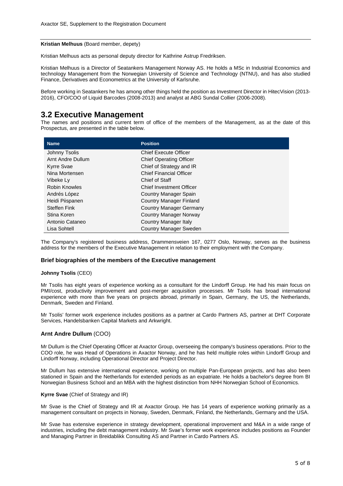**Kristian Melhuus** (Board member, depety)

Kristian Melhuus acts as personal deputy director for Kathrine Astrup Fredriksen.

Kristian Melhuus is a Director of Seatankers Management Norway AS. He holds a MSc in Industrial Economics and technology Management from the Norwegian University of Science and Technology (NTNU), and has also studied Finance, Derivatives and Econometrics at the University of Karlsruhe.

Before working in Seatankers he has among other things held the position as Investment Director in HitecVision (2013- 2016), CFO/COO of Liquid Barcodes (2008-2013) and analyst at ABG Sundal Collier (2006-2008).

# **3.2 Executive Management**

The names and positions and current term of office of the members of the Management, as at the date of this Prospectus, are presented in the table below.

| <b>Name</b>          | <b>Position</b>                 |
|----------------------|---------------------------------|
| Johnny Tsolis        | <b>Chief Execute Officer</b>    |
| Arnt Andre Dullum    | <b>Chief Operating Officer</b>  |
| <b>Kyrre Svae</b>    | Chief of Strategy and IR        |
| Nina Mortensen       | <b>Chief Financial Officer</b>  |
| Vibeke Ly            | Chief of Staff                  |
| <b>Robin Knowles</b> | <b>Chief Investment Officer</b> |
| Andrés López         | Country Manager Spain           |
| Heidi Piispanen      | <b>Country Manager Finland</b>  |
| <b>Steffen Fink</b>  | Country Manager Germany         |
| Stina Koren          | <b>Country Manager Norway</b>   |
| Antonio Cataneo      | Country Manager Italy           |
| Lisa Sohtell         | Country Manager Sweden          |

The Company's registered business address, Drammensveien 167, 0277 Oslo, Norway, serves as the business address for the members of the Executive Management in relation to their employment with the Company.

# **Brief biographies of the members of the Executive management**

# **Johnny Tsolis** (CEO)

Mr Tsolis has eight years of experience working as a consultant for the Lindorff Group. He had his main focus on PMI/cost, productivity improvement and post-merger acquisition processes. Mr Tsolis has broad international experience with more than five years on projects abroad, primarily in Spain, Germany, the US, the Netherlands, Denmark, Sweden and Finland.

Mr Tsolis' former work experience includes positions as a partner at Cardo Partners AS, partner at DHT Corporate Services, Handelsbanken Capital Markets and Arkwright.

# **Arnt Andre Dullum** (COO)

Mr Dullum is the Chief Operating Officer at Axactor Group, overseeing the company's business operations. Prior to the COO role, he was Head of Operations in Axactor Norway, and he has held multiple roles within Lindorff Group and Lindorff Norway, including Operational Director and Project Director.

Mr Dullum has extensive international experience, working on multiple Pan-European projects, and has also been stationed in Spain and the Netherlands for extended periods as an expatriate. He holds a bachelor's degree from BI Norwegian Business School and an MBA with the highest distinction from NHH Norwegian School of Economics.

# **Kyrre Svae** (Chief of Strategy and IR)

Mr Svae is the Chief of Strategy and IR at Axactor Group. He has 14 years of experience working primarily as a management consultant on projects in Norway, Sweden, Denmark, Finland, the Netherlands, Germany and the USA.

Mr Svae has extensive experience in strategy development, operational improvement and M&A in a wide range of industries, including the debt management industry. Mr Svae's former work experience includes positions as Founder and Managing Partner in Breidablikk Consulting AS and Partner in Cardo Partners AS.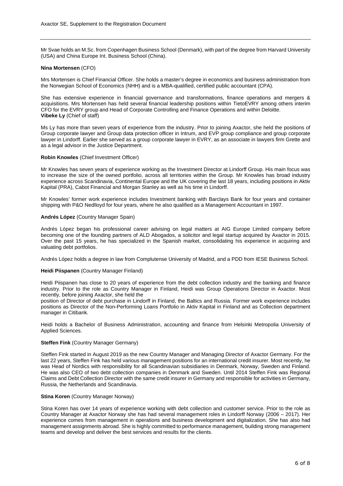Mr Svae holds an M.Sc. from Copenhagen Business School (Denmark), with part of the degree from Harvard University (USA) and China Europe Int. Business School (China).

# **Nina Mortensen** (CFO)

Mrs Mortensen is Chief Financial Officer. She holds a master's degree in economics and business administration from the Norwegian School of Economics (NHH) and is a MBA-qualified, certified public accountant (CPA).

She has extensive experience in financial governance and transformations, finance operations and mergers & acquisitions. Mrs Mortensen has held several financial leadership positions within TietoEVRY among others interim CFO for the EVRY group and Head of Corporate Controlling and Finance Operations and within Deloitte. **Vibeke Ly** (Chief of staff)

Ms Ly has more than seven years of experience from the industry. Prior to joining Axactor, she held the positions of Group corporate lawyer and Group data protection officer in Intrum, and EVP group compliance and group corporate lawyer in Lindorff. Earlier she served as a group corporate lawyer in EVRY, as an associate in lawyers firm Grette and as a legal advisor in the Justice Department.

### **Robin Knowles** (Chief Investment Officer)

Mr Knowles has seven years of experience working as the Investment Director at Lindorff Group. His main focus was to increase the size of the owned portfolio, across all territories within the Group. Mr Knowles has broad industry experience across Scandinavia, Continental Europe and the UK covering the last 18 years, including positions in Aktiv Kapital (PRA), Cabot Financial and Morgan Stanley as well as his time in Lindorff.

Mr Knowles' former work experience includes Investment banking with Barclays Bank for four years and container shipping with P&O Nedlloyd for four years, where he also qualified as a Management Accountant in 1997.

## **Andrés López** (Country Manager Spain)

Andrés López began his professional career advising on legal matters at AIG Europe Limited company before becoming one of the founding partners of ALD Abogados, a solicitor and legal startup acquired by Axactor in 2015. Over the past 15 years, he has specialized in the Spanish market, consolidating his experience in acquiring and valuating debt portfolios.

Andrés López holds a degree in law from Complutense University of Madrid, and a PDD from IESE Business School.

#### **Heidi Piispanen** (Country Manager Finland)

Heidi Piispanen has close to 20 years of experience from the debt collection industry and the banking and finance industry. Prior to the role as Country Manager in Finland, Heidi was Group Operations Director in Axactor. Most recently, before joining Axactor, she held the

position of Director of debt purchase in Lindorff in Finland, the Baltics and Russia. Former work experience includes positions as Director of the Non-Performing Loans Portfolio in Aktiv Kapital in Finland and as Collection department manager in Citibank.

Heidi holds a Bachelor of Business Administration, accounting and finance from Helsinki Metropolia University of Applied Sciences.

#### **Steffen Fink** (Country Manager Germany)

Steffen Fink started in August 2019 as the new Country Manager and Managing Director of Axactor Germany. For the last 22 years, Steffen Fink has held various management positions for an international credit insurer. Most recently, he was Head of Nordics with responsibility for all Scandinavian subsidiaries in Denmark, Norway, Sweden and Finland. He was also CEO of two debt collection companies in Denmark and Sweden. Until 2014 Steffen Fink was Regional Claims and Debt Collection Director with the same credit insurer in Germany and responsible for activities in Germany, Russia, the Netherlands and Scandinavia.

#### **Stina Koren** (Country Manager Norway)

Stina Koren has over 14 years of experience working with debt collection and customer service. Prior to the role as Country Manager at Axactor Norway she has had several management roles in Lindorff Norway (2006 – 2017). Her experience comes from management in operations and business development and digitalization. She has also had management assignments abroad. She is highly committed to performance management, building strong management teams and develop and deliver the best services and results for the clients.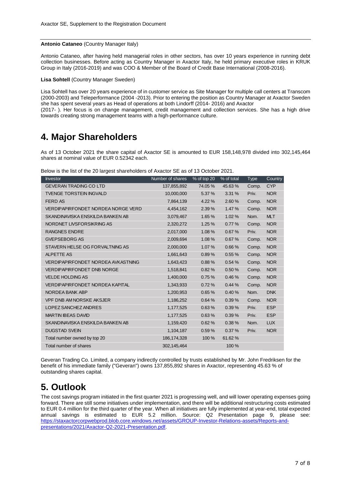# **Antonio Cataneo** (Country Manager Italy)

Antonio Cataneo, after having held managerial roles in other sectors, has over 10 years experience in running debt collection businesses. Before acting as Country Manager in Axactor Italy, he held primary executive roles in KRUK Group in Italy (2016-2019) and was COO & Member of the Board of Credit Base International (2008-2016).

**Lisa Sohtell** (Country Manager Sweden)

Lisa Sohtell has over 20 years experience of in customer service as Site Manager for multiple call centers at Transcom (2000-2003) and Teleperformance (2004 -2013). Prior to entering the position as Country Manager at Axactor Sweden she has spent several years as Head of operations at both Lindorff (2014- 2016) and Axactor (2017- ). Her focus is on change management, credit management and collection services. She has a high drive towards creating strong management teams with a high-performance culture.

# **4. Major Shareholders**

As of 13 October 2021 the share capital of Axactor SE is amounted to EUR 158,148,978 divided into 302,145,464 shares at nominal value of EUR 0.52342 each.

|  |  |  |  |  | Below is the list of the 20 largest shareholders of Axactor SE as of 13 October 2021. |  |  |  |  |  |
|--|--|--|--|--|---------------------------------------------------------------------------------------|--|--|--|--|--|
|--|--|--|--|--|---------------------------------------------------------------------------------------|--|--|--|--|--|

| <b>Investor</b>                        | Number of shares | % of top 20 | % of total | <b>Type</b> | Country    |
|----------------------------------------|------------------|-------------|------------|-------------|------------|
| <b>GEVERAN TRADING CO LTD</b>          | 137,855,892      | 74.05 %     | 45.63%     | Comp.       | <b>CYP</b> |
| <b>TVENGE TORSTEIN INGVALD</b>         | 10,000,000       | 5.37 %      | 3.31%      | Priv.       | <b>NOR</b> |
| <b>FERD AS</b>                         | 7,864,139        | 4.22 %      | 2.60 %     | Comp.       | <b>NOR</b> |
| VERDIPAPIRFONDET NORDEA NORGE VERD     | 4,454,162        | 2.39 %      | 1.47 %     | Comp.       | <b>NOR</b> |
| SKANDINAVISKA ENSKILDA BANKEN AB       | 3,079,467        | 1.65 %      | 1.02%      | Nom.        | <b>MLT</b> |
| NORDNET LIVSFORSIKRING AS              | 2,320,272        | 1.25%       | 0.77%      | Comp.       | <b>NOR</b> |
| <b>RANGNES ENDRE</b>                   | 2,017,000        | 1.08%       | 0.67%      | Priv.       | <b>NOR</b> |
| <b>GVEPSEBORG AS</b>                   | 2,009,694        | 1.08%       | 0.67%      | Comp.       | <b>NOR</b> |
| STAVERN HELSE OG FORVALTNING AS        | 2,000,000        | 1.07 %      | 0.66%      | Comp.       | <b>NOR</b> |
| <b>ALPETTE AS</b>                      | 1,661,643        | 0.89%       | 0.55%      | Comp.       | <b>NOR</b> |
| VERDIPAPIRFONDET NORDEA AVKASTNING     | 1,643,423        | 0.88%       | 0.54%      | Comp.       | <b>NOR</b> |
| <b>VERDIPAPIRFONDET DNB NORGE</b>      | 1,518,841        | 0.82%       | 0.50 %     | Comp.       | <b>NOR</b> |
| <b>VELDE HOLDING AS</b>                | 1,400,000        | 0.75%       | 0.46%      | Comp.       | <b>NOR</b> |
| <b>VERDIPAPIRFONDET NORDEA KAPITAL</b> | 1,343,933        | 0.72%       | 0.44%      | Comp.       | <b>NOR</b> |
| NORDEA BANK ABP                        | 1,200,953        | 0.65%       | 0.40%      | Nom.        | <b>DNK</b> |
| <b>VPF DNB AM NORSKE AKSJER</b>        | 1,186,252        | 0.64%       | 0.39%      | Comp.       | <b>NOR</b> |
| LOPEZ SANCHEZ ANDRES                   | 1,177,525        | 0.63%       | 0.39%      | Priv.       | <b>ESP</b> |
| <b>MARTIN IBEAS DAVID</b>              | 1,177,525        | 0.63%       | 0.39%      | Priv.       | <b>ESP</b> |
| SKANDINAVISKA ENSKILDA BANKEN AB       | 1,159,420        | 0.62%       | 0.38%      | Nom.        | <b>LUX</b> |
| <b>DUGSTAD SVEIN</b>                   | 1,104,187        | 0.59%       | 0.37%      | Priv.       | <b>NOR</b> |
| Total number owned by top 20           | 186, 174, 328    | 100 %       | 61.62%     |             |            |
| Total number of shares                 | 302,145,464      |             | 100 %      |             |            |
|                                        |                  |             |            |             |            |

Geveran Trading Co. Limited, a company indirectly controlled by trusts established by Mr. John Fredriksen for the benefit of his immediate family ("Geveran") owns 137,855,892 shares in Axactor, representing 45.63 % of outstanding shares capital.

# **5. Outlook**

The cost savings program initiated in the first quarter 2021 is progressing well, and will lower operating expenses going forward. There are still some initiatives under implementation, and there will be additional restructuring costs estimated to EUR 0.4 million for the third quarter of the year. When all initiatives are fully implemented at year-end, total expected annual savings is estimated to EUR 5.2 million. Source: Q2 Presentation page 9, please see: [https://staxactorcorpwebprod.blob.core.windows.net/assets/GROUP-Investor-Relations-assets/Reports-and](https://staxactorcorpwebprod.blob.core.windows.net/assets/GROUP-Investor-Relations-assets/Reports-and-presentations/2021/Axactor-Q2-2021-Presentation.pdf)[presentations/2021/Axactor-Q2-2021-Presentation.pdf.](https://staxactorcorpwebprod.blob.core.windows.net/assets/GROUP-Investor-Relations-assets/Reports-and-presentations/2021/Axactor-Q2-2021-Presentation.pdf)